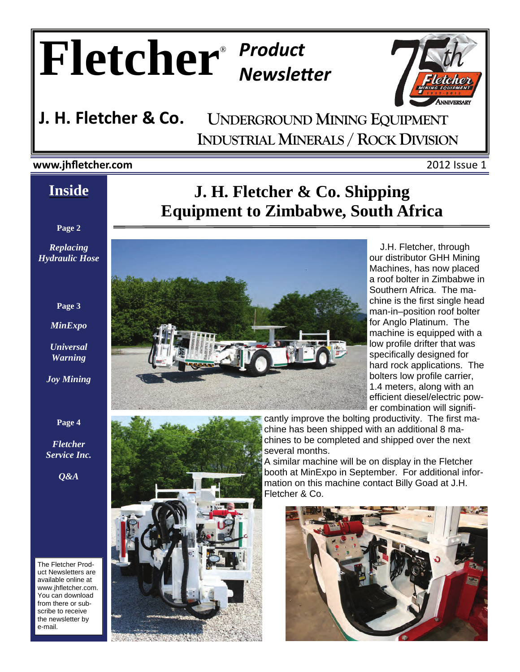# $F$ **letcher**<sup>®</sup> *Product*



## **UNDERGROUND MINING EQUIPMENT INDUSTRIAL MINERALS / ROCK DIVISION J. H. Fletcher & Co.**

## **www.jhfletcher.com** 2012 Issue 1

# **Inside**

**Page 2** 

*Replacing Hydraulic Hose* 

#### **Page 3**

*MinExpo* 

*Universal Warning* 

*Joy Mining* 

#### **Page 4**

*Fletcher Service Inc.* 

*Q&A* 

The Fletcher Product Newsletters are available online at www.jhfletcher.com. You can download from there or subscribe to receive the newsletter by e-mail.

# **J. H. Fletcher & Co. Shipping Equipment to Zimbabwe, South Africa**



 J.H. Fletcher, through our distributor GHH Mining Machines, has now placed a roof bolter in Zimbabwe in Southern Africa. The machine is the first single head man-in–position roof bolter for Anglo Platinum. The machine is equipped with a low profile drifter that was specifically designed for hard rock applications. The bolters low profile carrier, 1.4 meters, along with an efficient diesel/electric power combination will signifi-



cantly improve the bolting productivity. The first machine has been shipped with an additional 8 machines to be completed and shipped over the next several months.

A similar machine will be on display in the Fletcher booth at MinExpo in September. For additional information on this machine contact Billy Goad at J.H. Fletcher & Co.

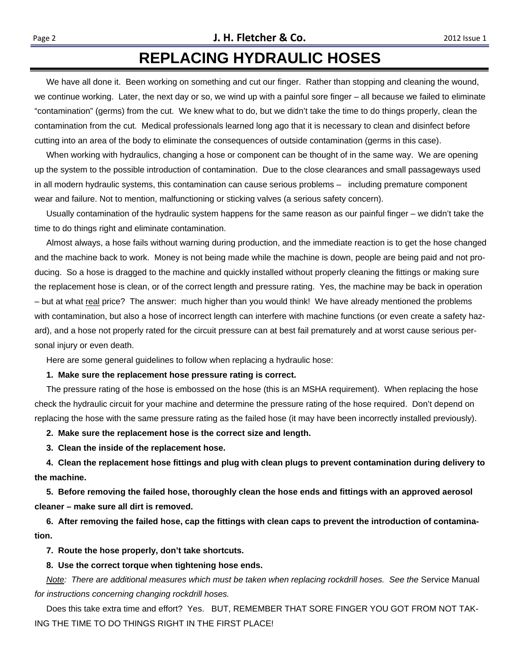# **REPLACING HYDRAULIC HOSES**

 We have all done it. Been working on something and cut our finger. Rather than stopping and cleaning the wound, we continue working. Later, the next day or so, we wind up with a painful sore finger – all because we failed to eliminate "contamination" (germs) from the cut. We knew what to do, but we didn't take the time to do things properly, clean the contamination from the cut. Medical professionals learned long ago that it is necessary to clean and disinfect before cutting into an area of the body to eliminate the consequences of outside contamination (germs in this case).

 When working with hydraulics, changing a hose or component can be thought of in the same way. We are opening up the system to the possible introduction of contamination. Due to the close clearances and small passageways used in all modern hydraulic systems, this contamination can cause serious problems – including premature component wear and failure. Not to mention, malfunctioning or sticking valves (a serious safety concern).

 Usually contamination of the hydraulic system happens for the same reason as our painful finger – we didn't take the time to do things right and eliminate contamination.

 Almost always, a hose fails without warning during production, and the immediate reaction is to get the hose changed and the machine back to work. Money is not being made while the machine is down, people are being paid and not producing. So a hose is dragged to the machine and quickly installed without properly cleaning the fittings or making sure the replacement hose is clean, or of the correct length and pressure rating. Yes, the machine may be back in operation – but at what real price? The answer: much higher than you would think! We have already mentioned the problems with contamination, but also a hose of incorrect length can interfere with machine functions (or even create a safety hazard), and a hose not properly rated for the circuit pressure can at best fail prematurely and at worst cause serious personal injury or even death.

Here are some general guidelines to follow when replacing a hydraulic hose:

#### **1. Make sure the replacement hose pressure rating is correct.**

 The pressure rating of the hose is embossed on the hose (this is an MSHA requirement). When replacing the hose check the hydraulic circuit for your machine and determine the pressure rating of the hose required. Don't depend on replacing the hose with the same pressure rating as the failed hose (it may have been incorrectly installed previously).

 **2. Make sure the replacement hose is the correct size and length.** 

 **3. Clean the inside of the replacement hose.** 

 **4. Clean the replacement hose fittings and plug with clean plugs to prevent contamination during delivery to the machine.** 

 **5. Before removing the failed hose, thoroughly clean the hose ends and fittings with an approved aerosol cleaner – make sure all dirt is removed.** 

 **6. After removing the failed hose, cap the fittings with clean caps to prevent the introduction of contamination.** 

 **7. Route the hose properly, don't take shortcuts.** 

#### **8. Use the correct torque when tightening hose ends.**

*Note: There are additional measures which must be taken when replacing rockdrill hoses. See the Service Manual for instructions concerning changing rockdrill hoses.* 

 Does this take extra time and effort? Yes. BUT, REMEMBER THAT SORE FINGER YOU GOT FROM NOT TAK-ING THE TIME TO DO THINGS RIGHT IN THE FIRST PLACE!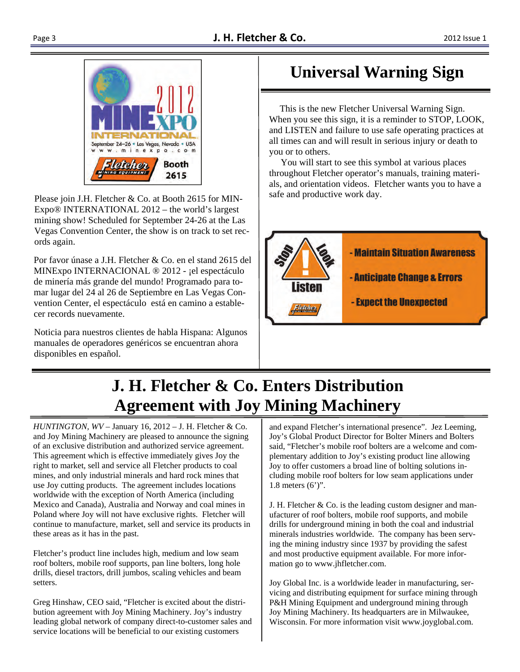

Please join J.H. Fletcher & Co. at Booth 2615 for MIN-Expo® INTERNATIONAL 2012 – the world's largest mining show! Scheduled for September 24-26 at the Las Vegas Convention Center, the show is on track to set records again.

Por favor únase a J.H. Fletcher & Co. en el stand 2615 del MINExpo INTERNACIONAL ® 2012 - ¡el espectáculo de minería más grande del mundo! Programado para tomar lugar del 24 al 26 de Septiembre en Las Vegas Convention Center, el espectáculo está en camino a establecer records nuevamente.

Noticia para nuestros clientes de habla Hispana: Algunos manuales de operadores genéricos se encuentran ahora disponibles en español.

# **Universal Warning Sign**

 This is the new Fletcher Universal Warning Sign. When you see this sign, it is a reminder to STOP, LOOK, and LISTEN and failure to use safe operating practices at all times can and will result in serious injury or death to you or to others.

 You will start to see this symbol at various places throughout Fletcher operator's manuals, training materials, and orientation videos. Fletcher wants you to have a safe and productive work day.



# **J. H. Fletcher & Co. Enters Distribution Agreement with Joy Mining Machinery**

*HUNTINGTON, WV* – January 16, 2012 – J. H. Fletcher & Co. and Joy Mining Machinery are pleased to announce the signing of an exclusive distribution and authorized service agreement. This agreement which is effective immediately gives Joy the right to market, sell and service all Fletcher products to coal mines, and only industrial minerals and hard rock mines that use Joy cutting products. The agreement includes locations worldwide with the exception of North America (including Mexico and Canada), Australia and Norway and coal mines in Poland where Joy will not have exclusive rights. Fletcher will continue to manufacture, market, sell and service its products in these areas as it has in the past.

Fletcher's product line includes high, medium and low seam roof bolters, mobile roof supports, pan line bolters, long hole drills, diesel tractors, drill jumbos, scaling vehicles and beam setters.

Greg Hinshaw, CEO said, "Fletcher is excited about the distribution agreement with Joy Mining Machinery. Joy's industry leading global network of company direct-to-customer sales and service locations will be beneficial to our existing customers

and expand Fletcher's international presence". Jez Leeming, Joy's Global Product Director for Bolter Miners and Bolters said, "Fletcher's mobile roof bolters are a welcome and complementary addition to Joy's existing product line allowing Joy to offer customers a broad line of bolting solutions including mobile roof bolters for low seam applications under 1.8 meters (6')".

J. H. Fletcher & Co. is the leading custom designer and manufacturer of roof bolters, mobile roof supports, and mobile drills for underground mining in both the coal and industrial minerals industries worldwide. The company has been serving the mining industry since 1937 by providing the safest and most productive equipment available. For more information go to www.jhfletcher.com.

Joy Global Inc. is a worldwide leader in manufacturing, servicing and distributing equipment for surface mining through P&H Mining Equipment and underground mining through Joy Mining Machinery. Its headquarters are in Milwaukee, Wisconsin. For more information visit www.joyglobal.com.